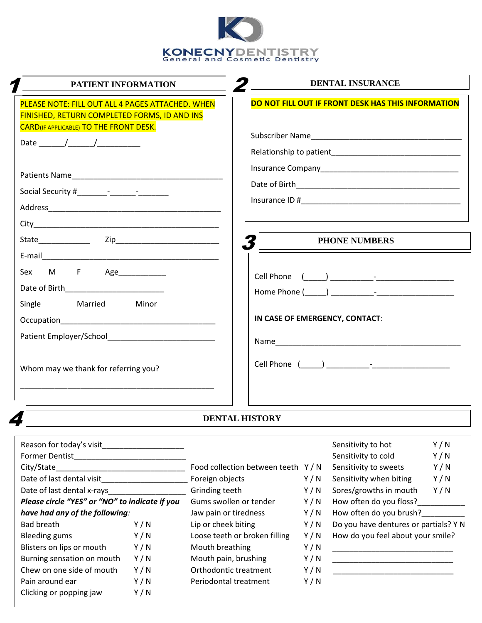

| PATIENT INFORMATION                                                                                                  | <b>DENTAL INSURANCE</b>                            |  |  |  |  |
|----------------------------------------------------------------------------------------------------------------------|----------------------------------------------------|--|--|--|--|
| PLEASE NOTE: FILL OUT ALL 4 PAGES ATTACHED. WHEN<br>FINISHED, RETURN COMPLETED FORMS, ID AND INS                     | DO NOT FILL OUT IF FRONT DESK HAS THIS INFORMATION |  |  |  |  |
| <b>CARD(IF APPLICABLE) TO THE FRONT DESK.</b>                                                                        |                                                    |  |  |  |  |
|                                                                                                                      |                                                    |  |  |  |  |
|                                                                                                                      |                                                    |  |  |  |  |
|                                                                                                                      |                                                    |  |  |  |  |
|                                                                                                                      | <b>PHONE NUMBERS</b>                               |  |  |  |  |
| Sex M F Age____________<br>Date of Birth__________________________                                                   |                                                    |  |  |  |  |
| Single Married Minor                                                                                                 | IN CASE OF EMERGENCY, CONTACT:                     |  |  |  |  |
|                                                                                                                      |                                                    |  |  |  |  |
| Whom may we thank for referring you?                                                                                 |                                                    |  |  |  |  |
| <u> 1990 - Jan James James James James James James James James James James James James James James James James J</u> |                                                    |  |  |  |  |
|                                                                                                                      | <b>DENTAL HISTORY</b>                              |  |  |  |  |

# **DENTAL HISTORY**

| Reason for today's visit                       |     |                                   |     | Sensitivity to hot                    | Y/N |  |
|------------------------------------------------|-----|-----------------------------------|-----|---------------------------------------|-----|--|
| <b>Former Dentist</b>                          |     |                                   |     | Sensitivity to cold                   | Y/N |  |
| City/State                                     |     | Food collection between teeth Y/N |     | Sensitivity to sweets                 | Y/N |  |
| Date of last dental visit                      |     | Foreign objects                   | Y/N | Sensitivity when biting               | Y/N |  |
| Date of last dental x-rays                     |     | Grinding teeth                    | Y/N | Sores/growths in mouth                | Y/N |  |
| Please circle "YES" or "NO" to indicate if you |     | Gums swollen or tender            | Y/N | How often do you floss?               |     |  |
| have had any of the following:                 |     | Jaw pain or tiredness             | Y/N | How often do you brush?               |     |  |
| Bad breath                                     | Y/N | Lip or cheek biting               | Y/N | Do you have dentures or partials? Y N |     |  |
| <b>Bleeding gums</b>                           | Y/N | Loose teeth or broken filling     | Y/N | How do you feel about your smile?     |     |  |
| Blisters on lips or mouth                      | Y/N | Mouth breathing                   | Y/N |                                       |     |  |
| Burning sensation on mouth                     | Y/N | Mouth pain, brushing              | Y/N |                                       |     |  |
| Chew on one side of mouth                      | Y/N | Orthodontic treatment             | Y/N |                                       |     |  |
| Pain around ear                                | Y/N | Periodontal treatment             | Y/N |                                       |     |  |
| Clicking or popping jaw                        | Y/N |                                   |     |                                       |     |  |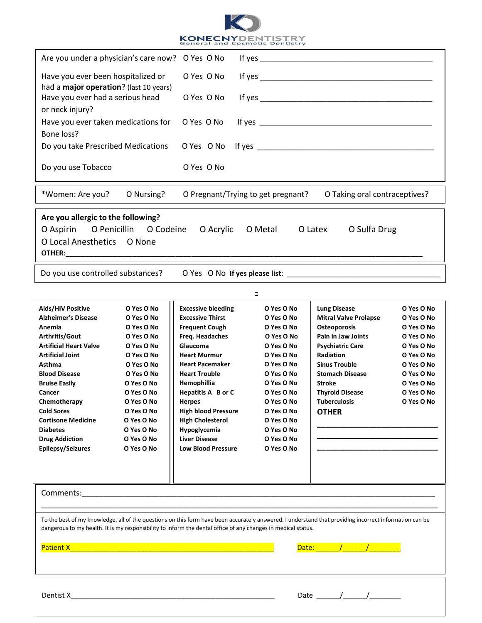

| Are you under a physician's care now? O Yes O No                                                                                                                                                                                                                        |                        |                                    |         |            |                               |            |  |  |  |
|-------------------------------------------------------------------------------------------------------------------------------------------------------------------------------------------------------------------------------------------------------------------------|------------------------|------------------------------------|---------|------------|-------------------------------|------------|--|--|--|
| Have you ever been hospitalized or                                                                                                                                                                                                                                      |                        | O Yes O No                         |         |            |                               |            |  |  |  |
| had a major operation? (last 10 years)<br>Have you ever had a serious head                                                                                                                                                                                              |                        | O Yes O No                         |         |            |                               |            |  |  |  |
| or neck injury?<br>Have you ever taken medications for                                                                                                                                                                                                                  |                        | O Yes O No                         |         |            |                               |            |  |  |  |
| Bone loss?<br>Do you take Prescribed Medications                                                                                                                                                                                                                        | O Yes O No             |                                    |         |            |                               |            |  |  |  |
| If yes $\overline{\phantom{a}}$                                                                                                                                                                                                                                         |                        |                                    |         |            |                               |            |  |  |  |
| Do you use Tobacco                                                                                                                                                                                                                                                      |                        | O Yes O No                         |         |            |                               |            |  |  |  |
| *Women: Are you?                                                                                                                                                                                                                                                        | O Nursing?             | O Pregnant/Trying to get pregnant? |         |            | O Taking oral contraceptives? |            |  |  |  |
| Are you allergic to the following?                                                                                                                                                                                                                                      |                        |                                    |         |            |                               |            |  |  |  |
| O Aspirin                                                                                                                                                                                                                                                               | O Penicillin O Codeine | O Acrylic                          | O Metal |            | O Latex<br>O Sulfa Drug       |            |  |  |  |
| O Local Anesthetics O None                                                                                                                                                                                                                                              |                        |                                    |         |            |                               |            |  |  |  |
| Do you use controlled substances?                                                                                                                                                                                                                                       |                        |                                    |         |            |                               |            |  |  |  |
|                                                                                                                                                                                                                                                                         |                        |                                    | $\Box$  |            |                               |            |  |  |  |
| Aids/HIV Positive                                                                                                                                                                                                                                                       | O Yes O No             | <b>Excessive bleeding</b>          |         | O Yes O No | <b>Lung Disease</b>           | O Yes O No |  |  |  |
| <b>Alzheimer's Disease</b>                                                                                                                                                                                                                                              | O Yes O No             | <b>Excessive Thirst</b>            |         | O Yes O No | <b>Mitral Valve Prolapse</b>  | O Yes O No |  |  |  |
| Anemia                                                                                                                                                                                                                                                                  | O Yes O No             | <b>Frequent Cough</b>              |         | O Yes O No | Osteoporosis                  | O Yes O No |  |  |  |
| Arthritis/Gout                                                                                                                                                                                                                                                          | O Yes O No             | Freq. Headaches                    |         | O Yes O No | Pain in Jaw Joints            | O Yes O No |  |  |  |
| <b>Artificial Heart Valve</b>                                                                                                                                                                                                                                           | O Yes O No             | Glaucoma                           |         | O Yes O No | <b>Psychiatric Care</b>       | O Yes O No |  |  |  |
| <b>Artificial Joint</b>                                                                                                                                                                                                                                                 | O Yes O No             | <b>Heart Murmur</b>                |         | O Yes O No | <b>Radiation</b>              | O Yes O No |  |  |  |
| <b>Asthma</b>                                                                                                                                                                                                                                                           | O Yes O No             | <b>Heart Pacemaker</b>             |         | O Yes O No | <b>Sinus Trouble</b>          | O Yes O No |  |  |  |
| <b>Blood Disease</b>                                                                                                                                                                                                                                                    | O Yes O No             | <b>Heart Trouble</b>               |         | O Yes O No | <b>Stomach Disease</b>        | O Yes O No |  |  |  |
| <b>Bruise Easily</b>                                                                                                                                                                                                                                                    | O Yes O No             | Hemophillia                        |         | O Yes O No | <b>Stroke</b>                 | O Yes O No |  |  |  |
| Cancer                                                                                                                                                                                                                                                                  | O Yes O No             | Hepatitis A B or C                 |         | O Yes O No | <b>Thyroid Disease</b>        | O Yes O No |  |  |  |
| Chemotherapy                                                                                                                                                                                                                                                            | O Yes O No             | <b>Herpes</b>                      |         | O Yes O No | Tuberculosis                  | O Yes O No |  |  |  |
| <b>Cold Sores</b>                                                                                                                                                                                                                                                       | O Yes O No             | <b>High blood Pressure</b>         |         | O Yes O No | <b>OTHER</b>                  |            |  |  |  |
| <b>Cortisone Medicine</b>                                                                                                                                                                                                                                               | O Yes O No             | <b>High Cholesterol</b>            |         | O Yes O No |                               |            |  |  |  |
| <b>Diabetes</b>                                                                                                                                                                                                                                                         | O Yes O No             | Hypoglycemia                       |         | O Yes O No |                               |            |  |  |  |
| <b>Drug Addiction</b>                                                                                                                                                                                                                                                   | O Yes O No             | <b>Liver Disease</b>               |         | O Yes O No |                               |            |  |  |  |
| Epilepsy/Seizures                                                                                                                                                                                                                                                       | O Yes O No             | <b>Low Blood Pressure</b>          |         | O Yes O No |                               |            |  |  |  |
|                                                                                                                                                                                                                                                                         |                        |                                    |         |            |                               |            |  |  |  |
|                                                                                                                                                                                                                                                                         |                        |                                    |         |            |                               |            |  |  |  |
|                                                                                                                                                                                                                                                                         |                        |                                    |         |            |                               |            |  |  |  |
| To the best of my knowledge, all of the questions on this form have been accurately answered. I understand that providing incorrect information can be<br>dangerous to my health. It is my responsibility to inform the dental office of any changes in medical status. |                        |                                    |         |            |                               |            |  |  |  |
| Date: $\sqrt{1-\sqrt{1-\frac{1}{2}}}$                                                                                                                                                                                                                                   |                        |                                    |         |            |                               |            |  |  |  |
|                                                                                                                                                                                                                                                                         |                        |                                    |         |            |                               |            |  |  |  |
|                                                                                                                                                                                                                                                                         |                        |                                    |         |            |                               |            |  |  |  |
|                                                                                                                                                                                                                                                                         |                        |                                    |         |            |                               |            |  |  |  |
|                                                                                                                                                                                                                                                                         |                        |                                    |         |            |                               |            |  |  |  |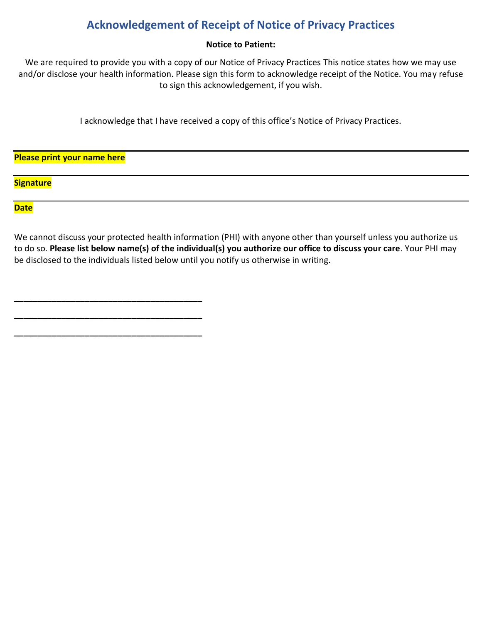# **Acknowledgement of Receipt of Notice of Privacy Practices**

# **Notice to Patient:**

We are required to provide you with a copy of our Notice of Privacy Practices This notice states how we may use and/or disclose your health information. Please sign this form to acknowledge receipt of the Notice. You may refuse to sign this acknowledgement, if you wish.

I acknowledge that I have received a copy of this office's Notice of Privacy Practices.

**Please print your name here**

**\_\_\_\_\_\_\_\_\_\_\_\_\_\_\_\_\_\_\_\_\_\_\_\_\_\_\_\_\_\_\_\_\_\_\_\_\_\_\_\_**

**\_\_\_\_\_\_\_\_\_\_\_\_\_\_\_\_\_\_\_\_\_\_\_\_\_\_\_\_\_\_\_\_\_\_\_\_\_\_\_\_**

**\_\_\_\_\_\_\_\_\_\_\_\_\_\_\_\_\_\_\_\_\_\_\_\_\_\_\_\_\_\_\_\_\_\_\_\_\_\_\_\_**

**Signature**

# **Date**

We cannot discuss your protected health information (PHI) with anyone other than yourself unless you authorize us to do so. **Please list below name(s) of the individual(s) you authorize our office to discuss your care**. Your PHI may be disclosed to the individuals listed below until you notify us otherwise in writing.